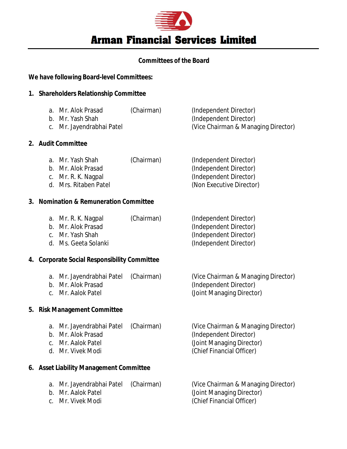

# **Committees of the Board**

# **We have following Board-level Committees:**

# **1. Shareholders Relationship Committee**

| a. Mr. Alok Prasad        | (Chairman) | (Independent Director)              |
|---------------------------|------------|-------------------------------------|
| b. Mr. Yash Shah          |            | (Independent Director)              |
| c. Mr. Jayendrabhai Patel |            | (Vice Chairman & Managing Director) |

#### **2. Audit Committee**

| a. Mr. Yash Shah    | (Chairman) | (Independent Director) |
|---------------------|------------|------------------------|
| b. Mr. Alok Prasad  |            | (Independent Director) |
| c. Mr. R. K. Nagpal |            | (Independent Director) |

- 
- d. Mrs. Ritaben Patel (Non Executive Director)

#### **3. Nomination & Remuneration Committee**

| a. Mr. R. K. Nagpal  | (Chairman) | (Independent Director) |
|----------------------|------------|------------------------|
| b. Mr. Alok Prasad   |            | (Independent Director) |
| c. Mr. Yash Shah     |            | (Independent Director) |
| d. Ms. Geeta Solanki |            | (Independent Director) |

## **4. Corporate Social Responsibility Committee**

| a. Mr. Jayendrabhai Patel (Chairman) | (Vice Chairman & Managing Director) |
|--------------------------------------|-------------------------------------|
| b. Mr. Alok Prasad                   | (Independent Director)              |
| c. Mr. Aalok Patel                   | (Joint Managing Director)           |

# **5. Risk Management Committee**

| a. Mr. Jayendrabhai Patel (Chairman) | (Vice Chairman & Managing Director) |
|--------------------------------------|-------------------------------------|
| b. Mr. Alok Prasad                   | (Independent Director)              |
| c. Mr. Aalok Patel                   | (Joint Managing Director)           |
| d. Mr. Vivek Modi                    | (Chief Financial Officer)           |
|                                      |                                     |

# **6. Asset Liability Management Committee**

| a. Mr. Jayendrabhai Patel | (Chairman) | (Vice Chairman & Managing Director) |
|---------------------------|------------|-------------------------------------|
| b. Mr. Aalok Patel        |            | (Joint Managing Director)           |
| c. Mr. Vivek Modi         |            | (Chief Financial Officer)           |